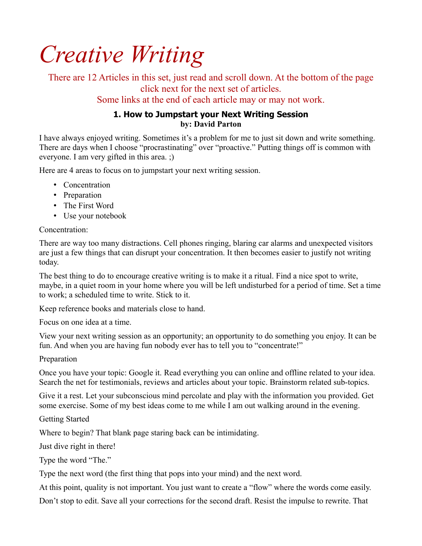# *Creative Writing*

There are 12 Articles in this set, just read and scroll down. At the bottom of the page click next for the next set of articles.

Some links at the end of each article may or may not work.

# **1. How to Jumpstart your Next Writing Session by: David Parton**

I have always enjoyed writing. Sometimes it's a problem for me to just sit down and write something. There are days when I choose "procrastinating" over "proactive." Putting things off is common with everyone. I am very gifted in this area. ;)

Here are 4 areas to focus on to jumpstart your next writing session.

- Concentration
- Preparation
- The First Word
- Use your notebook

Concentration:

There are way too many distractions. Cell phones ringing, blaring car alarms and unexpected visitors are just a few things that can disrupt your concentration. It then becomes easier to justify not writing today.

The best thing to do to encourage creative writing is to make it a ritual. Find a nice spot to write, maybe, in a quiet room in your home where you will be left undisturbed for a period of time. Set a time to work; a scheduled time to write. Stick to it.

Keep reference books and materials close to hand.

Focus on one idea at a time.

View your next writing session as an opportunity; an opportunity to do something you enjoy. It can be fun. And when you are having fun nobody ever has to tell you to "concentrate!"

# Preparation

Once you have your topic: Google it. Read everything you can online and offline related to your idea. Search the net for testimonials, reviews and articles about your topic. Brainstorm related sub-topics.

Give it a rest. Let your subconscious mind percolate and play with the information you provided. Get some exercise. Some of my best ideas come to me while I am out walking around in the evening.

Getting Started

Where to begin? That blank page staring back can be intimidating.

Just dive right in there!

Type the word "The."

Type the next word (the first thing that pops into your mind) and the next word.

At this point, quality is not important. You just want to create a "flow" where the words come easily.

Don't stop to edit. Save all your corrections for the second draft. Resist the impulse to rewrite. That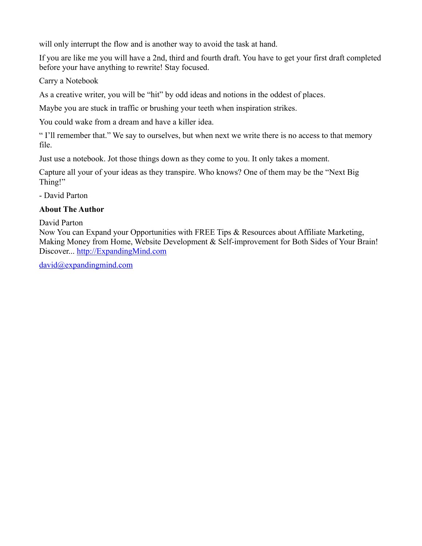will only interrupt the flow and is another way to avoid the task at hand.

If you are like me you will have a 2nd, third and fourth draft. You have to get your first draft completed before your have anything to rewrite! Stay focused.

Carry a Notebook

As a creative writer, you will be "hit" by odd ideas and notions in the oddest of places.

Maybe you are stuck in traffic or brushing your teeth when inspiration strikes.

You could wake from a dream and have a killer idea.

" I'll remember that." We say to ourselves, but when next we write there is no access to that memory file.

Just use a notebook. Jot those things down as they come to you. It only takes a moment.

Capture all your of your ideas as they transpire. Who knows? One of them may be the "Next Big Thing!"

- David Parton

#### **About The Author**

David Parton

Now You can Expand your Opportunities with FREE Tips & Resources about Affiliate Marketing, Making Money from Home, Website Development & Self-improvement for Both Sides of Your Brain! Discover... [http://ExpandingMind.com](http://ExpandingMind.com/)

[david@expandingmind.com](mailto:david@expandingmind.com)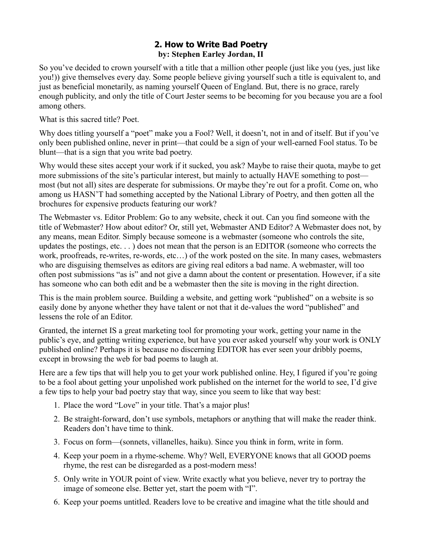# **2. How to Write Bad Poetry by: Stephen Earley Jordan, II**

So you've decided to crown yourself with a title that a million other people (just like you (yes, just like you!)) give themselves every day. Some people believe giving yourself such a title is equivalent to, and just as beneficial monetarily, as naming yourself Queen of England. But, there is no grace, rarely enough publicity, and only the title of Court Jester seems to be becoming for you because you are a fool among others.

What is this sacred title? Poet.

Why does titling yourself a "poet" make you a Fool? Well, it doesn't, not in and of itself. But if you've only been published online, never in print—that could be a sign of your well-earned Fool status. To be blunt—that is a sign that you write bad poetry.

Why would these sites accept your work if it sucked, you ask? Maybe to raise their quota, maybe to get more submissions of the site's particular interest, but mainly to actually HAVE something to post most (but not all) sites are desperate for submissions. Or maybe they're out for a profit. Come on, who among us HASN'T had something accepted by the National Library of Poetry, and then gotten all the brochures for expensive products featuring our work?

The Webmaster vs. Editor Problem: Go to any website, check it out. Can you find someone with the title of Webmaster? How about editor? Or, still yet, Webmaster AND Editor? A Webmaster does not, by any means, mean Editor. Simply because someone is a webmaster (someone who controls the site, updates the postings, etc. . . ) does not mean that the person is an EDITOR (someone who corrects the work, proofreads, re-writes, re-words, etc…) of the work posted on the site. In many cases, webmasters who are disguising themselves as editors are giving real editors a bad name. A webmaster, will too often post submissions "as is" and not give a damn about the content or presentation. However, if a site has someone who can both edit and be a webmaster then the site is moving in the right direction.

This is the main problem source. Building a website, and getting work "published" on a website is so easily done by anyone whether they have talent or not that it de-values the word "published" and lessens the role of an Editor.

Granted, the internet IS a great marketing tool for promoting your work, getting your name in the public's eye, and getting writing experience, but have you ever asked yourself why your work is ONLY published online? Perhaps it is because no discerning EDITOR has ever seen your dribbly poems, except in browsing the web for bad poems to laugh at.

Here are a few tips that will help you to get your work published online. Hey, I figured if you're going to be a fool about getting your unpolished work published on the internet for the world to see, I'd give a few tips to help your bad poetry stay that way, since you seem to like that way best:

- 1. Place the word "Love" in your title. That's a major plus!
- 2. Be straight-forward, don't use symbols, metaphors or anything that will make the reader think. Readers don't have time to think.
- 3. Focus on form—(sonnets, villanelles, haiku). Since you think in form, write in form.
- 4. Keep your poem in a rhyme-scheme. Why? Well, EVERYONE knows that all GOOD poems rhyme, the rest can be disregarded as a post-modern mess!
- 5. Only write in YOUR point of view. Write exactly what you believe, never try to portray the image of someone else. Better yet, start the poem with "I".
- 6. Keep your poems untitled. Readers love to be creative and imagine what the title should and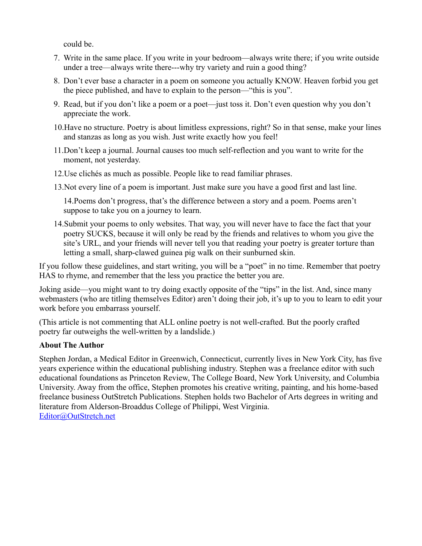could be.

- 7. Write in the same place. If you write in your bedroom—always write there; if you write outside under a tree—always write there---why try variety and ruin a good thing?
- 8. Don't ever base a character in a poem on someone you actually KNOW. Heaven forbid you get the piece published, and have to explain to the person—"this is you".
- 9. Read, but if you don't like a poem or a poet—just toss it. Don't even question why you don't appreciate the work.
- 10.Have no structure. Poetry is about limitless expressions, right? So in that sense, make your lines and stanzas as long as you wish. Just write exactly how you feel!
- 11.Don't keep a journal. Journal causes too much self-reflection and you want to write for the moment, not yesterday.
- 12.Use clichés as much as possible. People like to read familiar phrases.
- 13.Not every line of a poem is important. Just make sure you have a good first and last line.

14.Poems don't progress, that's the difference between a story and a poem. Poems aren't suppose to take you on a journey to learn.

14.Submit your poems to only websites. That way, you will never have to face the fact that your poetry SUCKS, because it will only be read by the friends and relatives to whom you give the site's URL, and your friends will never tell you that reading your poetry is greater torture than letting a small, sharp-clawed guinea pig walk on their sunburned skin.

If you follow these guidelines, and start writing, you will be a "poet" in no time. Remember that poetry HAS to rhyme, and remember that the less you practice the better you are.

Joking aside—you might want to try doing exactly opposite of the "tips" in the list. And, since many webmasters (who are titling themselves Editor) aren't doing their job, it's up to you to learn to edit your work before you embarrass yourself.

(This article is not commenting that ALL online poetry is not well-crafted. But the poorly crafted poetry far outweighs the well-written by a landslide.)

#### **About The Author**

Stephen Jordan, a Medical Editor in Greenwich, Connecticut, currently lives in New York City, has five years experience within the educational publishing industry. Stephen was a freelance editor with such educational foundations as Princeton Review, The College Board, New York University, and Columbia University. Away from the office, Stephen promotes his creative writing, painting, and his home-based freelance business OutStretch Publications. Stephen holds two Bachelor of Arts degrees in writing and literature from Alderson-Broaddus College of Philippi, West Virginia. [Editor@OutStretch.net](mailto:Editor@OutStretch.net)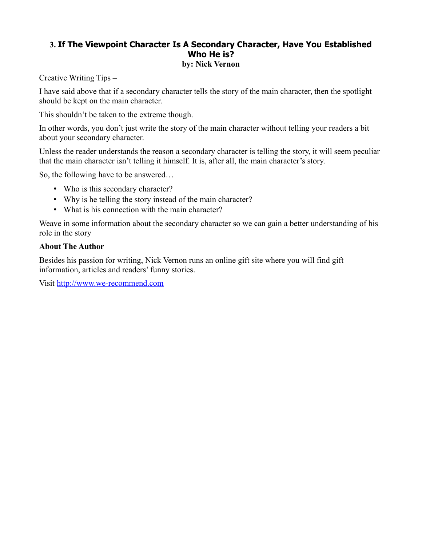#### **3. If The Viewpoint Character Is A Secondary Character, Have You Established Who He is? by: Nick Vernon**

Creative Writing Tips –

I have said above that if a secondary character tells the story of the main character, then the spotlight should be kept on the main character.

This shouldn't be taken to the extreme though.

In other words, you don't just write the story of the main character without telling your readers a bit about your secondary character.

Unless the reader understands the reason a secondary character is telling the story, it will seem peculiar that the main character isn't telling it himself. It is, after all, the main character's story.

So, the following have to be answered…

- Who is this secondary character?
- Why is he telling the story instead of the main character?
- What is his connection with the main character?

Weave in some information about the secondary character so we can gain a better understanding of his role in the story

#### **About The Author**

Besides his passion for writing, Nick Vernon runs an online gift site where you will find gift information, articles and readers' funny stories.

Visit [http://www.we-recommend.com](http://www.we-recommend.com/)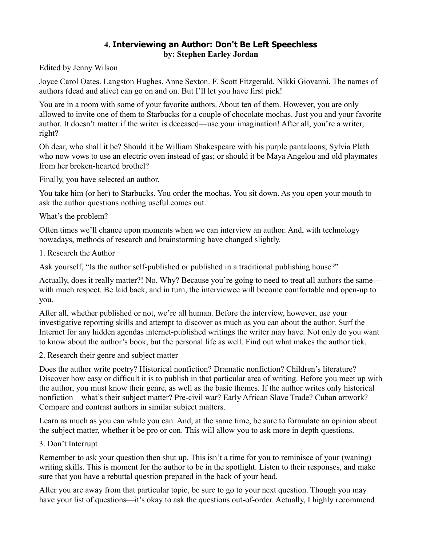# **4. Interviewing an Author: Don't Be Left Speechless by: Stephen Earley Jordan**

Edited by Jenny Wilson

Joyce Carol Oates. Langston Hughes. Anne Sexton. F. Scott Fitzgerald. Nikki Giovanni. The names of authors (dead and alive) can go on and on. But I'll let you have first pick!

You are in a room with some of your favorite authors. About ten of them. However, you are only allowed to invite one of them to Starbucks for a couple of chocolate mochas. Just you and your favorite author. It doesn't matter if the writer is deceased—use your imagination! After all, you're a writer, right?

Oh dear, who shall it be? Should it be William Shakespeare with his purple pantaloons; Sylvia Plath who now vows to use an electric oven instead of gas; or should it be Maya Angelou and old playmates from her broken-hearted brothel?

Finally, you have selected an author.

You take him (or her) to Starbucks. You order the mochas. You sit down. As you open your mouth to ask the author questions nothing useful comes out.

What's the problem?

Often times we'll chance upon moments when we can interview an author. And, with technology nowadays, methods of research and brainstorming have changed slightly.

1. Research the Author

Ask yourself, "Is the author self-published or published in a traditional publishing house?"

Actually, does it really matter?! No. Why? Because you're going to need to treat all authors the same with much respect. Be laid back, and in turn, the interviewee will become comfortable and open-up to you.

After all, whether published or not, we're all human. Before the interview, however, use your investigative reporting skills and attempt to discover as much as you can about the author. Surf the Internet for any hidden agendas internet-published writings the writer may have. Not only do you want to know about the author's book, but the personal life as well. Find out what makes the author tick.

2. Research their genre and subject matter

Does the author write poetry? Historical nonfiction? Dramatic nonfiction? Children's literature? Discover how easy or difficult it is to publish in that particular area of writing. Before you meet up with the author, you must know their genre, as well as the basic themes. If the author writes only historical nonfiction—what's their subject matter? Pre-civil war? Early African Slave Trade? Cuban artwork? Compare and contrast authors in similar subject matters.

Learn as much as you can while you can. And, at the same time, be sure to formulate an opinion about the subject matter, whether it be pro or con. This will allow you to ask more in depth questions.

#### 3. Don't Interrupt

Remember to ask your question then shut up. This isn't a time for you to reminisce of your (waning) writing skills. This is moment for the author to be in the spotlight. Listen to their responses, and make sure that you have a rebuttal question prepared in the back of your head.

After you are away from that particular topic, be sure to go to your next question. Though you may have your list of questions—it's okay to ask the questions out-of-order. Actually, I highly recommend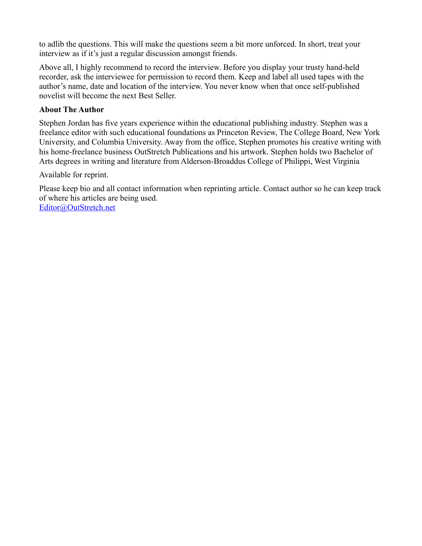to adlib the questions. This will make the questions seem a bit more unforced. In short, treat your interview as if it's just a regular discussion amongst friends.

Above all, I highly recommend to record the interview. Before you display your trusty hand-held recorder, ask the interviewee for permission to record them. Keep and label all used tapes with the author's name, date and location of the interview. You never know when that once self-published novelist will become the next Best Seller.

#### **About The Author**

Stephen Jordan has five years experience within the educational publishing industry. Stephen was a freelance editor with such educational foundations as Princeton Review, The College Board, New York University, and Columbia University. Away from the office, Stephen promotes his creative writing with his home-freelance business OutStretch Publications and his artwork. Stephen holds two Bachelor of Arts degrees in writing and literature from Alderson-Broaddus College of Philippi, West Virginia

Available for reprint.

Please keep bio and all contact information when reprinting article. Contact author so he can keep track of where his articles are being used.

[Editor@OutStretch.net](mailto:Editor@OutStretch.net)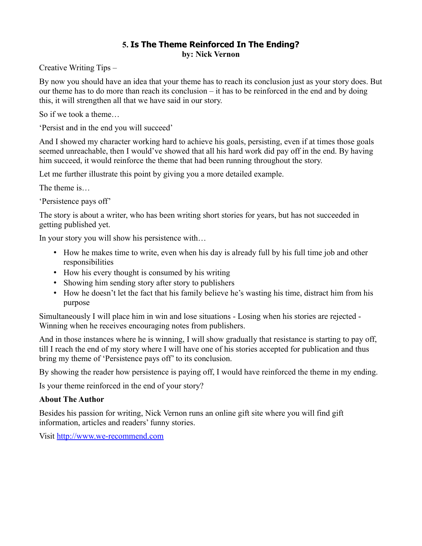# **5. Is The Theme Reinforced In The Ending? by: Nick Vernon**

Creative Writing Tips –

By now you should have an idea that your theme has to reach its conclusion just as your story does. But our theme has to do more than reach its conclusion – it has to be reinforced in the end and by doing this, it will strengthen all that we have said in our story.

So if we took a theme…

'Persist and in the end you will succeed'

And I showed my character working hard to achieve his goals, persisting, even if at times those goals seemed unreachable, then I would've showed that all his hard work did pay off in the end. By having him succeed, it would reinforce the theme that had been running throughout the story.

Let me further illustrate this point by giving you a more detailed example.

The theme is…

'Persistence pays off'

The story is about a writer, who has been writing short stories for years, but has not succeeded in getting published yet.

In your story you will show his persistence with…

- How he makes time to write, even when his day is already full by his full time job and other responsibilities
- How his every thought is consumed by his writing
- Showing him sending story after story to publishers
- How he doesn't let the fact that his family believe he's wasting his time, distract him from his purpose

Simultaneously I will place him in win and lose situations - Losing when his stories are rejected - Winning when he receives encouraging notes from publishers.

And in those instances where he is winning, I will show gradually that resistance is starting to pay off, till I reach the end of my story where I will have one of his stories accepted for publication and thus bring my theme of 'Persistence pays off' to its conclusion.

By showing the reader how persistence is paying off, I would have reinforced the theme in my ending.

Is your theme reinforced in the end of your story?

# **About The Author**

Besides his passion for writing, Nick Vernon runs an online gift site where you will find gift information, articles and readers' funny stories.

Visit [http://www.we-recommend.com](http://www.we-recommend.com/)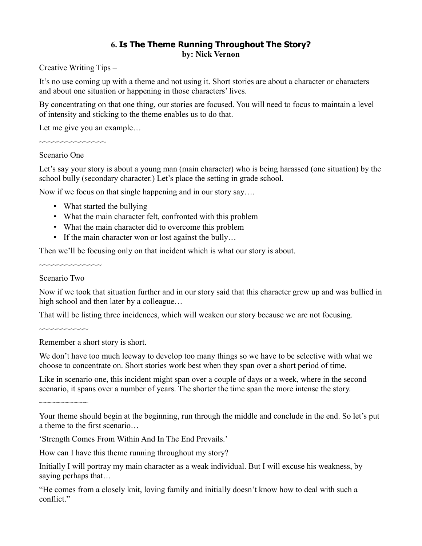# **6. Is The Theme Running Throughout The Story? by: Nick Vernon**

Creative Writing Tips –

It's no use coming up with a theme and not using it. Short stories are about a character or characters and about one situation or happening in those characters' lives.

By concentrating on that one thing, our stories are focused. You will need to focus to maintain a level of intensity and sticking to the theme enables us to do that.

Let me give you an example...

~~~~~~~~~~~~~

#### Scenario One

Let's say your story is about a young man (main character) who is being harassed (one situation) by the school bully (secondary character.) Let's place the setting in grade school.

Now if we focus on that single happening and in our story say….

- What started the bullying
- What the main character felt, confronted with this problem
- What the main character did to overcome this problem
- If the main character won or lost against the bully...

Then we'll be focusing only on that incident which is what our story is about.

#### Scenario Two

~~~~~~~~~~~

 $~\sim~\sim~\sim~\sim~\sim~\sim~\sim~\sim~\sim~\sim~\sim~\sim~\sim$ 

Now if we took that situation further and in our story said that this character grew up and was bullied in high school and then later by a colleague...

That will be listing three incidences, which will weaken our story because we are not focusing.

Remember a short story is short.

We don't have too much leeway to develop too many things so we have to be selective with what we choose to concentrate on. Short stories work best when they span over a short period of time.

Like in scenario one, this incident might span over a couple of days or a week, where in the second scenario, it spans over a number of years. The shorter the time span the more intense the story.

~~~~~~~~~~~

How can I have this theme running throughout my story?

Initially I will portray my main character as a weak individual. But I will excuse his weakness, by saying perhaps that…

"He comes from a closely knit, loving family and initially doesn't know how to deal with such a conflict."

Your theme should begin at the beginning, run through the middle and conclude in the end. So let's put a theme to the first scenario…

<sup>&#</sup>x27;Strength Comes From Within And In The End Prevails.'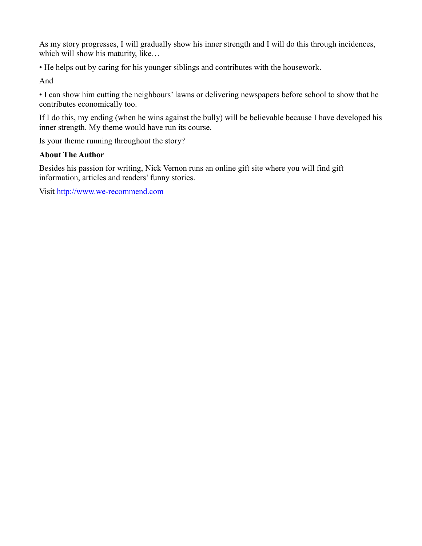As my story progresses, I will gradually show his inner strength and I will do this through incidences, which will show his maturity, like...

• He helps out by caring for his younger siblings and contributes with the housework.

And

• I can show him cutting the neighbours' lawns or delivering newspapers before school to show that he contributes economically too.

If I do this, my ending (when he wins against the bully) will be believable because I have developed his inner strength. My theme would have run its course.

Is your theme running throughout the story?

#### **About The Author**

Besides his passion for writing, Nick Vernon runs an online gift site where you will find gift information, articles and readers' funny stories.

Visit [http://www.we-recommend.com](http://www.we-recommend.com/)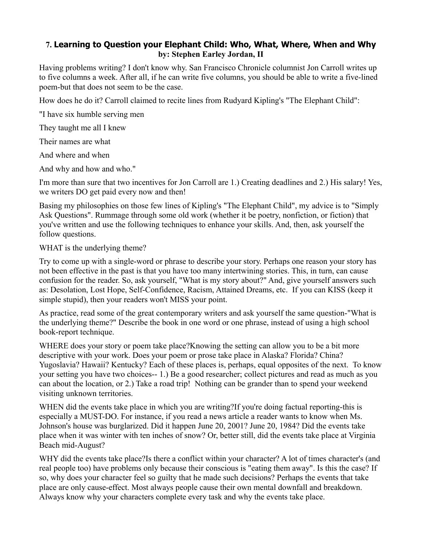# **7. Learning to Question your Elephant Child: Who, What, Where, When and Why by: Stephen Earley Jordan, II**

Having problems writing? I don't know why. San Francisco Chronicle columnist Jon Carroll writes up to five columns a week. After all, if he can write five columns, you should be able to write a five-lined poem-but that does not seem to be the case.

How does he do it? Carroll claimed to recite lines from Rudyard Kipling's "The Elephant Child":

"I have six humble serving men

They taught me all I knew

Their names are what

And where and when

And why and how and who."

I'm more than sure that two incentives for Jon Carroll are 1.) Creating deadlines and 2.) His salary! Yes, we writers DO get paid every now and then!

Basing my philosophies on those few lines of Kipling's "The Elephant Child", my advice is to "Simply Ask Questions". Rummage through some old work (whether it be poetry, nonfiction, or fiction) that you've written and use the following techniques to enhance your skills. And, then, ask yourself the follow questions.

#### WHAT is the underlying theme?

Try to come up with a single-word or phrase to describe your story. Perhaps one reason your story has not been effective in the past is that you have too many intertwining stories. This, in turn, can cause confusion for the reader. So, ask yourself, "What is my story about?" And, give yourself answers such as: Desolation, Lost Hope, Self-Confidence, Racism, Attained Dreams, etc. If you can KISS (keep it simple stupid), then your readers won't MISS your point.

As practice, read some of the great contemporary writers and ask yourself the same question-"What is the underlying theme?" Describe the book in one word or one phrase, instead of using a high school book-report technique.

WHERE does your story or poem take place?Knowing the setting can allow you to be a bit more descriptive with your work. Does your poem or prose take place in Alaska? Florida? China? Yugoslavia? Hawaii? Kentucky? Each of these places is, perhaps, equal opposites of the next. To know your setting you have two choices-- 1.) Be a good researcher; collect pictures and read as much as you can about the location, or 2.) Take a road trip! Nothing can be grander than to spend your weekend visiting unknown territories.

WHEN did the events take place in which you are writing?If you're doing factual reporting-this is especially a MUST-DO. For instance, if you read a news article a reader wants to know when Ms. Johnson's house was burglarized. Did it happen June 20, 2001? June 20, 1984? Did the events take place when it was winter with ten inches of snow? Or, better still, did the events take place at Virginia Beach mid-August?

WHY did the events take place?Is there a conflict within your character? A lot of times character's (and real people too) have problems only because their conscious is "eating them away". Is this the case? If so, why does your character feel so guilty that he made such decisions? Perhaps the events that take place are only cause-effect. Most always people cause their own mental downfall and breakdown. Always know why your characters complete every task and why the events take place.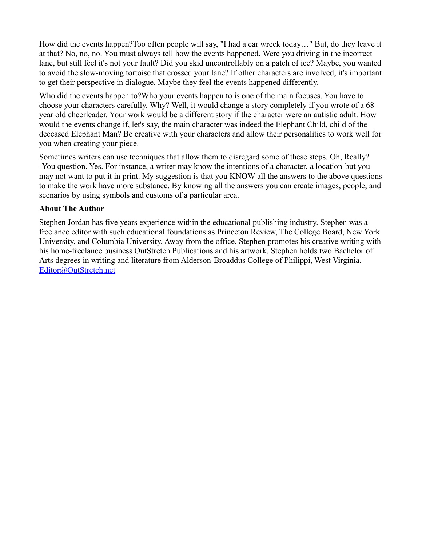How did the events happen?Too often people will say, "I had a car wreck today…" But, do they leave it at that? No, no, no. You must always tell how the events happened. Were you driving in the incorrect lane, but still feel it's not your fault? Did you skid uncontrollably on a patch of ice? Maybe, you wanted to avoid the slow-moving tortoise that crossed your lane? If other characters are involved, it's important to get their perspective in dialogue. Maybe they feel the events happened differently.

Who did the events happen to?Who your events happen to is one of the main focuses. You have to choose your characters carefully. Why? Well, it would change a story completely if you wrote of a 68 year old cheerleader. Your work would be a different story if the character were an autistic adult. How would the events change if, let's say, the main character was indeed the Elephant Child, child of the deceased Elephant Man? Be creative with your characters and allow their personalities to work well for you when creating your piece.

Sometimes writers can use techniques that allow them to disregard some of these steps. Oh, Really? -You question. Yes. For instance, a writer may know the intentions of a character, a location-but you may not want to put it in print. My suggestion is that you KNOW all the answers to the above questions to make the work have more substance. By knowing all the answers you can create images, people, and scenarios by using symbols and customs of a particular area.

#### **About The Author**

Stephen Jordan has five years experience within the educational publishing industry. Stephen was a freelance editor with such educational foundations as Princeton Review, The College Board, New York University, and Columbia University. Away from the office, Stephen promotes his creative writing with his home-freelance business OutStretch Publications and his artwork. Stephen holds two Bachelor of Arts degrees in writing and literature from Alderson-Broaddus College of Philippi, West Virginia. [Editor@OutStretch.net](mailto:Editor@OutStretch.net)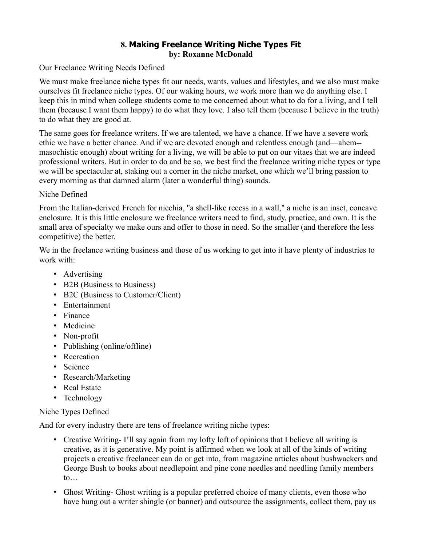# **8. Making Freelance Writing Niche Types Fit by: Roxanne McDonald**

Our Freelance Writing Needs Defined

We must make freelance niche types fit our needs, wants, values and lifestyles, and we also must make ourselves fit freelance niche types. Of our waking hours, we work more than we do anything else. I keep this in mind when college students come to me concerned about what to do for a living, and I tell them (because I want them happy) to do what they love. I also tell them (because I believe in the truth) to do what they are good at.

The same goes for freelance writers. If we are talented, we have a chance. If we have a severe work ethic we have a better chance. And if we are devoted enough and relentless enough (and—ahem- masochistic enough) about writing for a living, we will be able to put on our vitaes that we are indeed professional writers. But in order to do and be so, we best find the freelance writing niche types or type we will be spectacular at, staking out a corner in the niche market, one which we'll bring passion to every morning as that damned alarm (later a wonderful thing) sounds.

#### Niche Defined

From the Italian-derived French for nicchia, "a shell-like recess in a wall," a niche is an inset, concave enclosure. It is this little enclosure we freelance writers need to find, study, practice, and own. It is the small area of specialty we make ours and offer to those in need. So the smaller (and therefore the less competitive) the better.

We in the freelance writing business and those of us working to get into it have plenty of industries to work with:

- Advertising
- B2B (Business to Business)
- B2C (Business to Customer/Client)
- Entertainment
- Finance
- Medicine
- Non-profit
- Publishing (online/offline)
- Recreation
- Science
- Research/Marketing
- Real Estate
- Technology

Niche Types Defined

And for every industry there are tens of freelance writing niche types:

- Creative Writing-I'll say again from my lofty loft of opinions that I believe all writing is creative, as it is generative. My point is affirmed when we look at all of the kinds of writing projects a creative freelancer can do or get into, from magazine articles about bushwackers and George Bush to books about needlepoint and pine cone needles and needling family members  $to...$
- Ghost Writing- Ghost writing is a popular preferred choice of many clients, even those who have hung out a writer shingle (or banner) and outsource the assignments, collect them, pay us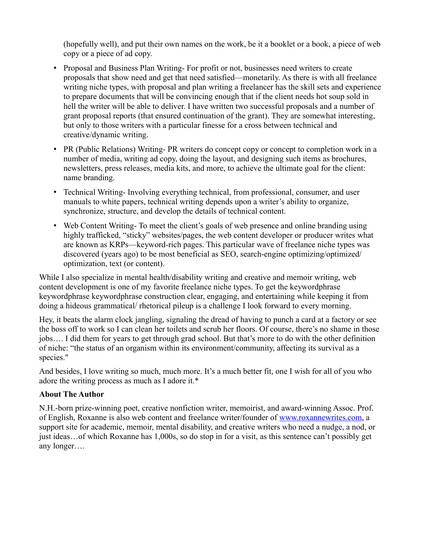(hopefully well), and put their own names on the work, be it a booklet or a book, a piece of web copy or a piece of ad copy.

- Proposal and Business Plan Writing- For profit or not, businesses need writers to create proposals that show need and get that need satisfied—monetarily. As there is with all freelance writing niche types, with proposal and plan writing a freelancer has the skill sets and experience to prepare documents that will be convincing enough that if the client needs hot soup sold in hell the writer will be able to deliver. I have written two successful proposals and a number of grant proposal reports (that ensured continuation of the grant). They are somewhat interesting, but only to those writers with a particular finesse for a cross between technical and creative/dynamic writing.
- PR (Public Relations) Writing- PR writers do concept copy or concept to completion work in a number of media, writing ad copy, doing the layout, and designing such items as brochures, newsletters, press releases, media kits, and more, to achieve the ultimate goal for the client: name branding.
- Technical Writing- Involving everything technical, from professional, consumer, and user manuals to white papers, technical writing depends upon a writer's ability to organize, synchronize, structure, and develop the details of technical content.
- Web Content Writing-To meet the client's goals of web presence and online branding using highly trafficked, "sticky" websites/pages, the web content developer or producer writes what are known as KRPs—keyword-rich pages. This particular wave of freelance niche types was discovered (years ago) to be most beneficial as SEO, search-engine optimizing/optimized/ optimization, text (or content).

While I also specialize in mental health/disability writing and creative and memoir writing, web content development is one of my favorite freelance niche types. To get the keywordphrase keywordphrase keywordphrase construction clear, engaging, and entertaining while keeping it from doing a hideous grammatical/ rhetorical pileup is a challenge I look forward to every morning.

Hey, it beats the alarm clock jangling, signaling the dread of having to punch a card at a factory or see the boss off to work so I can clean her toilets and scrub her floors. Of course, there's no shame in those jobs…. I did them for years to get through grad school. But that's more to do with the other definition of niche: "the status of an organism within its environment/community, affecting its survival as a species."

And besides, I love writing so much, much more. It's a much better fit, one I wish for all of you who adore the writing process as much as I adore it.\*

#### **About The Author**

N.H.-born prize-winning poet, creative nonfiction writer, memoirist, and award-winning Assoc. Prof. of English, Roxanne is also web content and freelance writer/founder of [www.roxannewrites.com,](http://www.roxannewrites.com/) a support site for academic, memoir, mental disability, and creative writers who need a nudge, a nod, or just ideas…of which Roxanne has 1,000s, so do stop in for a visit, as this sentence can't possibly get any longer….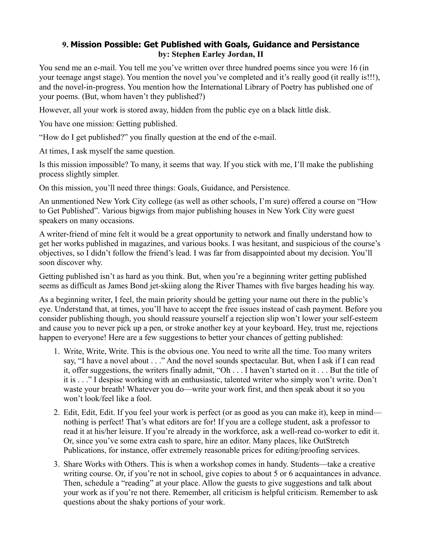#### **9. Mission Possible: Get Published with Goals, Guidance and Persistance by: Stephen Earley Jordan, II**

You send me an e-mail. You tell me you've written over three hundred poems since you were 16 (in your teenage angst stage). You mention the novel you've completed and it's really good (it really is!!!), and the novel-in-progress. You mention how the International Library of Poetry has published one of your poems. (But, whom haven't they published?)

However, all your work is stored away, hidden from the public eye on a black little disk.

You have one mission: Getting published.

"How do I get published?" you finally question at the end of the e-mail.

At times, I ask myself the same question.

Is this mission impossible? To many, it seems that way. If you stick with me, I'll make the publishing process slightly simpler.

On this mission, you'll need three things: Goals, Guidance, and Persistence.

An unmentioned New York City college (as well as other schools, I'm sure) offered a course on "How to Get Published". Various bigwigs from major publishing houses in New York City were guest speakers on many occasions.

A writer-friend of mine felt it would be a great opportunity to network and finally understand how to get her works published in magazines, and various books. I was hesitant, and suspicious of the course's objectives, so I didn't follow the friend's lead. I was far from disappointed about my decision. You'll soon discover why.

Getting published isn't as hard as you think. But, when you're a beginning writer getting published seems as difficult as James Bond jet-skiing along the River Thames with five barges heading his way.

As a beginning writer, I feel, the main priority should be getting your name out there in the public's eye. Understand that, at times, you'll have to accept the free issues instead of cash payment. Before you consider publishing though, you should reassure yourself a rejection slip won't lower your self-esteem and cause you to never pick up a pen, or stroke another key at your keyboard. Hey, trust me, rejections happen to everyone! Here are a few suggestions to better your chances of getting published:

- 1. Write, Write, Write. This is the obvious one. You need to write all the time. Too many writers say, "I have a novel about . . ." And the novel sounds spectacular. But, when I ask if I can read it, offer suggestions, the writers finally admit, "Oh . . . I haven't started on it . . . But the title of it is . . ." I despise working with an enthusiastic, talented writer who simply won't write. Don't waste your breath! Whatever you do—write your work first, and then speak about it so you won't look/feel like a fool.
- 2. Edit, Edit, Edit. If you feel your work is perfect (or as good as you can make it), keep in mind nothing is perfect! That's what editors are for! If you are a college student, ask a professor to read it at his/her leisure. If you're already in the workforce, ask a well-read co-worker to edit it. Or, since you've some extra cash to spare, hire an editor. Many places, like OutStretch Publications, for instance, offer extremely reasonable prices for editing/proofing services.
- 3. Share Works with Others. This is when a workshop comes in handy. Students—take a creative writing course. Or, if you're not in school, give copies to about 5 or 6 acquaintances in advance. Then, schedule a "reading" at your place. Allow the guests to give suggestions and talk about your work as if you're not there. Remember, all criticism is helpful criticism. Remember to ask questions about the shaky portions of your work.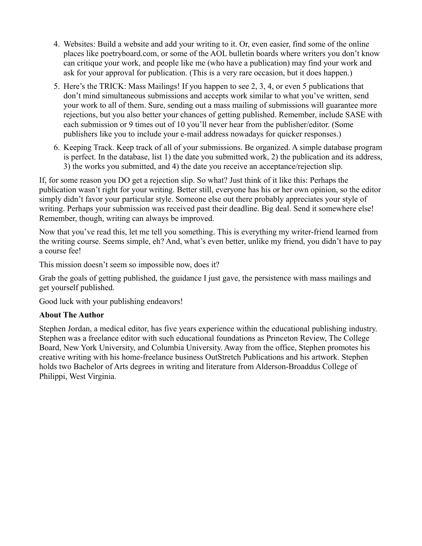- 4. Websites: Build a website and add your writing to it. Or, even easier, find some of the online places like poetryboard.com, or some of the AOL bulletin boards where writers you don't know can critique your work, and people like me (who have a publication) may find your work and ask for your approval for publication. (This is a very rare occasion, but it does happen.)
- 5. Here's the TRICK: Mass Mailings! If you happen to see 2, 3, 4, or even 5 publications that don't mind simultaneous submissions and accepts work similar to what you've written, send your work to all of them. Sure, sending out a mass mailing of submissions will guarantee more rejections, but you also better your chances of getting published. Remember, include SASE with each submission or 9 times out of 10 you'll never hear from the publisher/editor. (Some publishers like you to include your e-mail address nowadays for quicker responses.)
- 6. Keeping Track. Keep track of all of your submissions. Be organized. A simple database program is perfect. In the database, list 1) the date you submitted work, 2) the publication and its address, 3) the works you submitted, and 4) the date you receive an acceptance/rejection slip.

If, for some reason you DO get a rejection slip. So what? Just think of it like this: Perhaps the publication wasn't right for your writing. Better still, everyone has his or her own opinion, so the editor simply didn't favor your particular style. Someone else out there probably appreciates your style of writing. Perhaps your submission was received past their deadline. Big deal. Send it somewhere else! Remember, though, writing can always be improved.

Now that you've read this, let me tell you something. This is everything my writer-friend learned from the writing course. Seems simple, eh? And, what's even better, unlike my friend, you didn't have to pay a course fee!

This mission doesn't seem so impossible now, does it?

Grab the goals of getting published, the guidance I just gave, the persistence with mass mailings and get yourself published.

Good luck with your publishing endeavors!

#### **About The Author**

Stephen Jordan, a medical editor, has five years experience within the educational publishing industry. Stephen was a freelance editor with such educational foundations as Princeton Review, The College Board, New York University, and Columbia University. Away from the office, Stephen promotes his creative writing with his home-freelance business OutStretch Publications and his artwork. Stephen holds two Bachelor of Arts degrees in writing and literature from Alderson-Broaddus College of Philippi, West Virginia.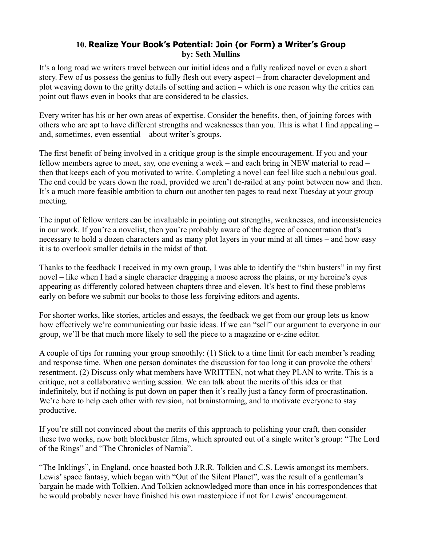# **10. Realize Your Book's Potential: Join (or Form) a Writer's Group by: Seth Mullins**

It's a long road we writers travel between our initial ideas and a fully realized novel or even a short story. Few of us possess the genius to fully flesh out every aspect – from character development and plot weaving down to the gritty details of setting and action – which is one reason why the critics can point out flaws even in books that are considered to be classics.

Every writer has his or her own areas of expertise. Consider the benefits, then, of joining forces with others who are apt to have different strengths and weaknesses than you. This is what I find appealing – and, sometimes, even essential – about writer's groups.

The first benefit of being involved in a critique group is the simple encouragement. If you and your fellow members agree to meet, say, one evening a week – and each bring in NEW material to read – then that keeps each of you motivated to write. Completing a novel can feel like such a nebulous goal. The end could be years down the road, provided we aren't de-railed at any point between now and then. It's a much more feasible ambition to churn out another ten pages to read next Tuesday at your group meeting.

The input of fellow writers can be invaluable in pointing out strengths, weaknesses, and inconsistencies in our work. If you're a novelist, then you're probably aware of the degree of concentration that's necessary to hold a dozen characters and as many plot layers in your mind at all times – and how easy it is to overlook smaller details in the midst of that.

Thanks to the feedback I received in my own group, I was able to identify the "shin busters" in my first novel – like when I had a single character dragging a moose across the plains, or my heroine's eyes appearing as differently colored between chapters three and eleven. It's best to find these problems early on before we submit our books to those less forgiving editors and agents.

For shorter works, like stories, articles and essays, the feedback we get from our group lets us know how effectively we're communicating our basic ideas. If we can "sell" our argument to everyone in our group, we'll be that much more likely to sell the piece to a magazine or e-zine editor.

A couple of tips for running your group smoothly: (1) Stick to a time limit for each member's reading and response time. When one person dominates the discussion for too long it can provoke the others' resentment. (2) Discuss only what members have WRITTEN, not what they PLAN to write. This is a critique, not a collaborative writing session. We can talk about the merits of this idea or that indefinitely, but if nothing is put down on paper then it's really just a fancy form of procrastination. We're here to help each other with revision, not brainstorming, and to motivate everyone to stay productive.

If you're still not convinced about the merits of this approach to polishing your craft, then consider these two works, now both blockbuster films, which sprouted out of a single writer's group: "The Lord of the Rings" and "The Chronicles of Narnia".

"The Inklings", in England, once boasted both J.R.R. Tolkien and C.S. Lewis amongst its members. Lewis' space fantasy, which began with "Out of the Silent Planet", was the result of a gentleman's bargain he made with Tolkien. And Tolkien acknowledged more than once in his correspondences that he would probably never have finished his own masterpiece if not for Lewis' encouragement.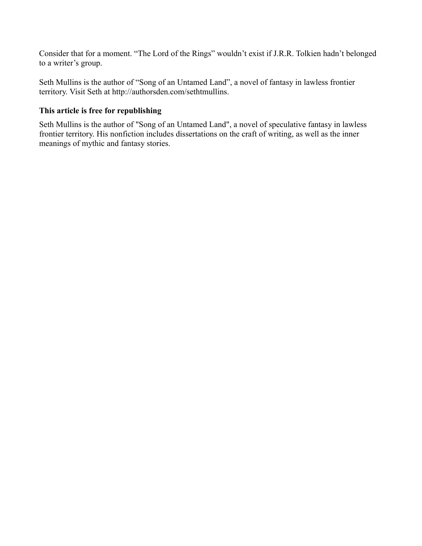Consider that for a moment. "The Lord of the Rings" wouldn't exist if J.R.R. Tolkien hadn't belonged to a writer's group.

Seth Mullins is the author of "Song of an Untamed Land", a novel of fantasy in lawless frontier territory. Visit Seth at http://authorsden.com/sethtmullins.

#### **This article is free for republishing**

Seth Mullins is the author of "Song of an Untamed Land", a novel of speculative fantasy in lawless frontier territory. His nonfiction includes dissertations on the craft of writing, as well as the inner meanings of mythic and fantasy stories.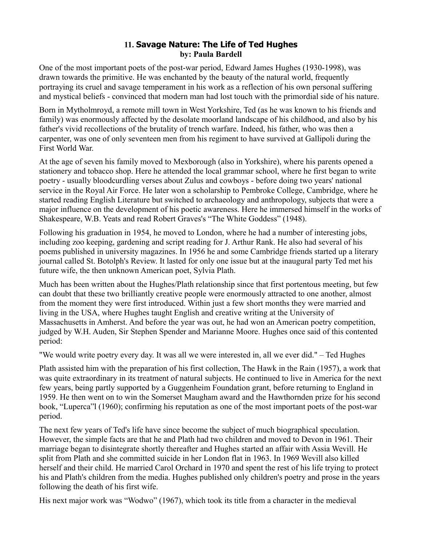# **11. Savage Nature: The Life of Ted Hughes by: Paula Bardell**

One of the most important poets of the post-war period, Edward James Hughes (1930-1998), was drawn towards the primitive. He was enchanted by the beauty of the natural world, frequently portraying its cruel and savage temperament in his work as a reflection of his own personal suffering and mystical beliefs - convinced that modern man had lost touch with the primordial side of his nature.

Born in Mytholmroyd, a remote mill town in West Yorkshire, Ted (as he was known to his friends and family) was enormously affected by the desolate moorland landscape of his childhood, and also by his father's vivid recollections of the brutality of trench warfare. Indeed, his father, who was then a carpenter, was one of only seventeen men from his regiment to have survived at Gallipoli during the First World War.

At the age of seven his family moved to Mexborough (also in Yorkshire), where his parents opened a stationery and tobacco shop. Here he attended the local grammar school, where he first began to write poetry - usually bloodcurdling verses about Zulus and cowboys - before doing two years' national service in the Royal Air Force. He later won a scholarship to Pembroke College, Cambridge, where he started reading English Literature but switched to archaeology and anthropology, subjects that were a major influence on the development of his poetic awareness. Here he immersed himself in the works of Shakespeare, W.B. Yeats and read Robert Graves's "The White Goddess" (1948).

Following his graduation in 1954, he moved to London, where he had a number of interesting jobs, including zoo keeping, gardening and script reading for J. Arthur Rank. He also had several of his poems published in university magazines. In 1956 he and some Cambridge friends started up a literary journal called St. Botolph's Review. It lasted for only one issue but at the inaugural party Ted met his future wife, the then unknown American poet, Sylvia Plath.

Much has been written about the Hughes/Plath relationship since that first portentous meeting, but few can doubt that these two brilliantly creative people were enormously attracted to one another, almost from the moment they were first introduced. Within just a few short months they were married and living in the USA, where Hughes taught English and creative writing at the University of Massachusetts in Amherst. And before the year was out, he had won an American poetry competition, judged by W.H. Auden, Sir Stephen Spender and Marianne Moore. Hughes once said of this contented period:

"We would write poetry every day. It was all we were interested in, all we ever did." – Ted Hughes

Plath assisted him with the preparation of his first collection, The Hawk in the Rain (1957), a work that was quite extraordinary in its treatment of natural subjects. He continued to live in America for the next few years, being partly supported by a Guggenheim Foundation grant, before returning to England in 1959. He then went on to win the Somerset Maugham award and the Hawthornden prize for his second book, "Luperca"l (1960); confirming his reputation as one of the most important poets of the post-war period.

The next few years of Ted's life have since become the subject of much biographical speculation. However, the simple facts are that he and Plath had two children and moved to Devon in 1961. Their marriage began to disintegrate shortly thereafter and Hughes started an affair with Assia Wevill. He split from Plath and she committed suicide in her London flat in 1963. In 1969 Wevill also killed herself and their child. He married Carol Orchard in 1970 and spent the rest of his life trying to protect his and Plath's children from the media. Hughes published only children's poetry and prose in the years following the death of his first wife.

His next major work was "Wodwo" (1967), which took its title from a character in the medieval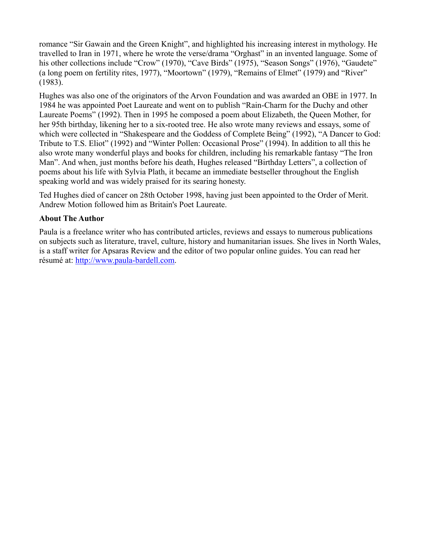romance "Sir Gawain and the Green Knight", and highlighted his increasing interest in mythology. He travelled to Iran in 1971, where he wrote the verse/drama "Orghast" in an invented language. Some of his other collections include "Crow" (1970), "Cave Birds" (1975), "Season Songs" (1976), "Gaudete" (a long poem on fertility rites, 1977), "Moortown" (1979), "Remains of Elmet" (1979) and "River" (1983).

Hughes was also one of the originators of the Arvon Foundation and was awarded an OBE in 1977. In 1984 he was appointed Poet Laureate and went on to publish "Rain-Charm for the Duchy and other Laureate Poems" (1992). Then in 1995 he composed a poem about Elizabeth, the Queen Mother, for her 95th birthday, likening her to a six-rooted tree. He also wrote many reviews and essays, some of which were collected in "Shakespeare and the Goddess of Complete Being" (1992), "A Dancer to God: Tribute to T.S. Eliot" (1992) and "Winter Pollen: Occasional Prose" (1994). In addition to all this he also wrote many wonderful plays and books for children, including his remarkable fantasy "The Iron Man". And when, just months before his death, Hughes released "Birthday Letters", a collection of poems about his life with Sylvia Plath, it became an immediate bestseller throughout the English speaking world and was widely praised for its searing honesty.

Ted Hughes died of cancer on 28th October 1998, having just been appointed to the Order of Merit. Andrew Motion followed him as Britain's Poet Laureate.

#### **About The Author**

Paula is a freelance writer who has contributed articles, reviews and essays to numerous publications on subjects such as literature, travel, culture, history and humanitarian issues. She lives in North Wales, is a staff writer for Apsaras Review and the editor of two popular online guides. You can read her résumé at: [http://www.paula-bardell.com.](http://www.paula-bardell.com/)